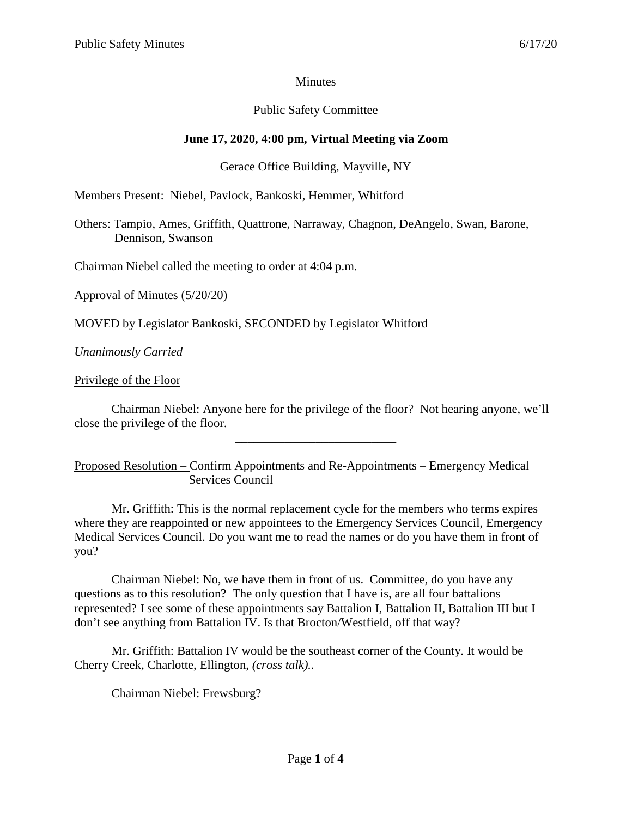### **Minutes**

## Public Safety Committee

## **June 17, 2020, 4:00 pm, Virtual Meeting via Zoom**

### Gerace Office Building, Mayville, NY

Members Present: Niebel, Pavlock, Bankoski, Hemmer, Whitford

Others: Tampio, Ames, Griffith, Quattrone, Narraway, Chagnon, DeAngelo, Swan, Barone, Dennison, Swanson

Chairman Niebel called the meeting to order at 4:04 p.m.

Approval of Minutes (5/20/20)

MOVED by Legislator Bankoski, SECONDED by Legislator Whitford

*Unanimously Carried*

Privilege of the Floor

Chairman Niebel: Anyone here for the privilege of the floor? Not hearing anyone, we'll close the privilege of the floor.

\_\_\_\_\_\_\_\_\_\_\_\_\_\_\_\_\_\_\_\_\_\_\_\_\_\_

Proposed Resolution – Confirm Appointments and Re-Appointments – Emergency Medical Services Council

Mr. Griffith: This is the normal replacement cycle for the members who terms expires where they are reappointed or new appointees to the Emergency Services Council, Emergency Medical Services Council. Do you want me to read the names or do you have them in front of you?

Chairman Niebel: No, we have them in front of us. Committee, do you have any questions as to this resolution? The only question that I have is, are all four battalions represented? I see some of these appointments say Battalion I, Battalion II, Battalion III but I don't see anything from Battalion IV. Is that Brocton/Westfield, off that way?

Mr. Griffith: Battalion IV would be the southeast corner of the County. It would be Cherry Creek, Charlotte, Ellington, *(cross talk)..*

Chairman Niebel: Frewsburg?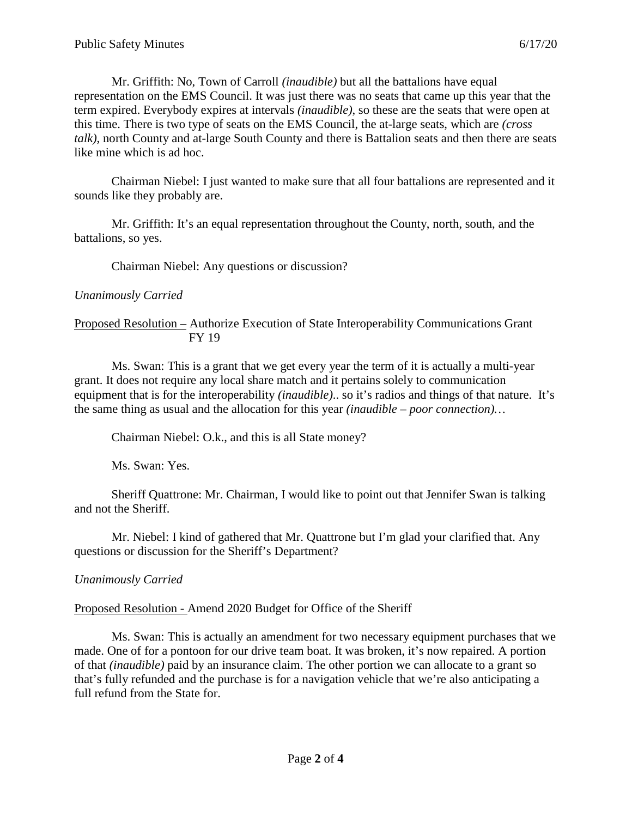Mr. Griffith: No, Town of Carroll *(inaudible)* but all the battalions have equal representation on the EMS Council. It was just there was no seats that came up this year that the term expired. Everybody expires at intervals *(inaudible)*, so these are the seats that were open at this time. There is two type of seats on the EMS Council, the at-large seats, which are *(cross talk)*, north County and at-large South County and there is Battalion seats and then there are seats like mine which is ad hoc.

Chairman Niebel: I just wanted to make sure that all four battalions are represented and it sounds like they probably are.

Mr. Griffith: It's an equal representation throughout the County, north, south, and the battalions, so yes.

Chairman Niebel: Any questions or discussion?

#### *Unanimously Carried*

#### Proposed Resolution – Authorize Execution of State Interoperability Communications Grant FY 19

Ms. Swan: This is a grant that we get every year the term of it is actually a multi-year grant. It does not require any local share match and it pertains solely to communication equipment that is for the interoperability *(inaudible)*.. so it's radios and things of that nature. It's the same thing as usual and the allocation for this year *(inaudible – poor connection)…*

Chairman Niebel: O.k., and this is all State money?

Ms. Swan: Yes.

Sheriff Quattrone: Mr. Chairman, I would like to point out that Jennifer Swan is talking and not the Sheriff.

Mr. Niebel: I kind of gathered that Mr. Quattrone but I'm glad your clarified that. Any questions or discussion for the Sheriff's Department?

# *Unanimously Carried*

# Proposed Resolution - Amend 2020 Budget for Office of the Sheriff

Ms. Swan: This is actually an amendment for two necessary equipment purchases that we made. One of for a pontoon for our drive team boat. It was broken, it's now repaired. A portion of that *(inaudible)* paid by an insurance claim. The other portion we can allocate to a grant so that's fully refunded and the purchase is for a navigation vehicle that we're also anticipating a full refund from the State for.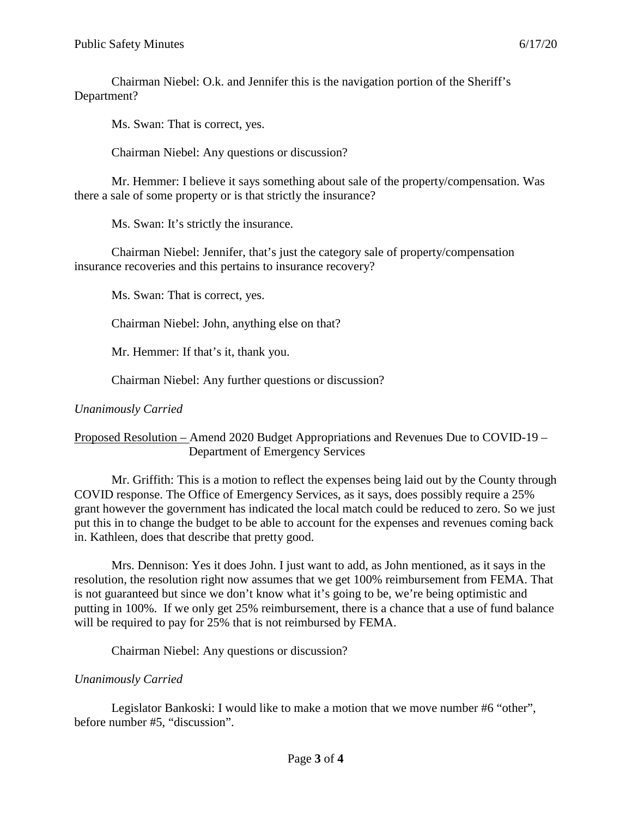Chairman Niebel: O.k. and Jennifer this is the navigation portion of the Sheriff's Department?

Ms. Swan: That is correct, yes.

Chairman Niebel: Any questions or discussion?

Mr. Hemmer: I believe it says something about sale of the property/compensation. Was there a sale of some property or is that strictly the insurance?

Ms. Swan: It's strictly the insurance.

Chairman Niebel: Jennifer, that's just the category sale of property/compensation insurance recoveries and this pertains to insurance recovery?

Ms. Swan: That is correct, yes.

Chairman Niebel: John, anything else on that?

Mr. Hemmer: If that's it, thank you.

Chairman Niebel: Any further questions or discussion?

*Unanimously Carried*

#### Proposed Resolution – Amend 2020 Budget Appropriations and Revenues Due to COVID-19 – Department of Emergency Services

Mr. Griffith: This is a motion to reflect the expenses being laid out by the County through COVID response. The Office of Emergency Services, as it says, does possibly require a 25% grant however the government has indicated the local match could be reduced to zero. So we just put this in to change the budget to be able to account for the expenses and revenues coming back in. Kathleen, does that describe that pretty good.

Mrs. Dennison: Yes it does John. I just want to add, as John mentioned, as it says in the resolution, the resolution right now assumes that we get 100% reimbursement from FEMA. That is not guaranteed but since we don't know what it's going to be, we're being optimistic and putting in 100%. If we only get 25% reimbursement, there is a chance that a use of fund balance will be required to pay for 25% that is not reimbursed by FEMA.

Chairman Niebel: Any questions or discussion?

# *Unanimously Carried*

Legislator Bankoski: I would like to make a motion that we move number #6 "other", before number #5, "discussion".